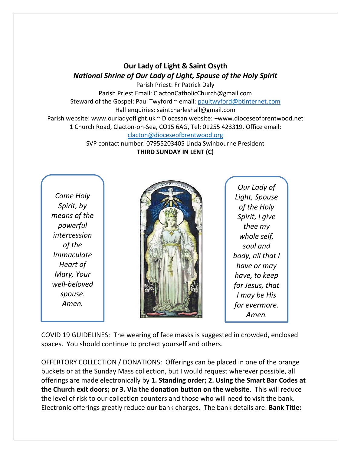## **Our Lady of Light & Saint Osyth** *National Shrine of Our Lady of Light, Spouse of the Holy Spirit*

Parish Priest: Fr Patrick Daly Parish Priest Email: ClactonCatholicChurch@gmail.com Steward of the Gospel: Paul Twyford ~ email: [paultwyford@btinternet.com](mailto:paultwyford@btinternet.com) Hall enquiries: saintcharleshall@gmail.com Parish website: www.ourladyoflight.uk ~ Diocesan website: +www.dioceseofbrentwood.net 1 Church Road, Clacton-on-Sea, CO15 6AG, Tel: 01255 423319, Office email: [clacton@dioceseofbrentwood.org](mailto:clacton@dioceseofbrentwood.org)

SVP contact number: 07955203405 Linda Swinbourne President **THIRD SUNDAY IN LENT (C)**

*Come Holy Spirit, by means of the powerful intercession of the Immaculate Heart of Mary, Your well-beloved spouse. Amen.*



*Our Lady of Light, Spouse of the Holy Spirit, I give thee my whole self, soul and body, all that I have or may have, to keep for Jesus, that I may be His for evermore. Amen.*

COVID 19 GUIDELINES: The wearing of face masks is suggested in crowded, enclosed spaces. You should continue to protect yourself and others.

OFFERTORY COLLECTION / DONATIONS: Offerings can be placed in one of the orange buckets or at the Sunday Mass collection, but I would request wherever possible, all offerings are made electronically by **1. Standing order; 2. Using the Smart Bar Codes at the Church exit doors; or 3. Via the donation button on the website**. This will reduce the level of risk to our collection counters and those who will need to visit the bank. Electronic offerings greatly reduce our bank charges. The bank details are: **Bank Title:**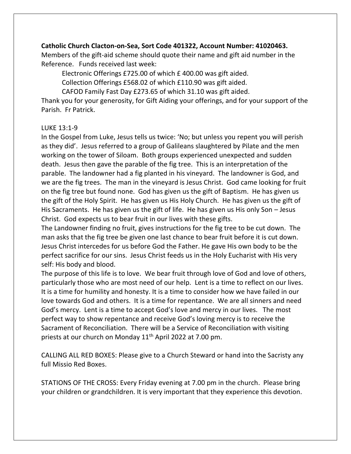## **Catholic Church Clacton-on-Sea, Sort Code 401322, Account Number: 41020463.**

Members of the gift-aid scheme should quote their name and gift aid number in the Reference. Funds received last week:

Electronic Offerings £725.00 of which £ 400.00 was gift aided.

Collection Offerings £568.02 of which £110.90 was gift aided.

CAFOD Family Fast Day £273.65 of which 31.10 was gift aided.

Thank you for your generosity, for Gift Aiding your offerings, and for your support of the Parish. Fr Patrick.

## LUKE 13:1-9

In the Gospel from Luke, Jesus tells us twice: 'No; but unless you repent you will perish as they did'. Jesus referred to a group of Galileans slaughtered by Pilate and the men working on the tower of Siloam. Both groups experienced unexpected and sudden death. Jesus then gave the parable of the fig tree. This is an interpretation of the parable. The landowner had a fig planted in his vineyard. The landowner is God, and we are the fig trees. The man in the vineyard is Jesus Christ. God came looking for fruit on the fig tree but found none. God has given us the gift of Baptism. He has given us the gift of the Holy Spirit. He has given us His Holy Church. He has given us the gift of His Sacraments. He has given us the gift of life. He has given us His only Son – Jesus Christ. God expects us to bear fruit in our lives with these gifts.

The Landowner finding no fruit, gives instructions for the fig tree to be cut down. The man asks that the fig tree be given one last chance to bear fruit before it is cut down. Jesus Christ intercedes for us before God the Father. He gave His own body to be the perfect sacrifice for our sins. Jesus Christ feeds us in the Holy Eucharist with His very self: His body and blood.

The purpose of this life is to love. We bear fruit through love of God and love of others, particularly those who are most need of our help. Lent is a time to reflect on our lives. It is a time for humility and honesty. It is a time to consider how we have failed in our love towards God and others. It is a time for repentance. We are all sinners and need God's mercy. Lent is a time to accept God's love and mercy in our lives. The most perfect way to show repentance and receive God's loving mercy is to receive the Sacrament of Reconciliation. There will be a Service of Reconciliation with visiting priests at our church on Monday 11th April 2022 at 7.00 pm.

CALLING ALL RED BOXES: Please give to a Church Steward or hand into the Sacristy any full Missio Red Boxes.

STATIONS OF THE CROSS: Every Friday evening at 7.00 pm in the church. Please bring your children or grandchildren. It is very important that they experience this devotion.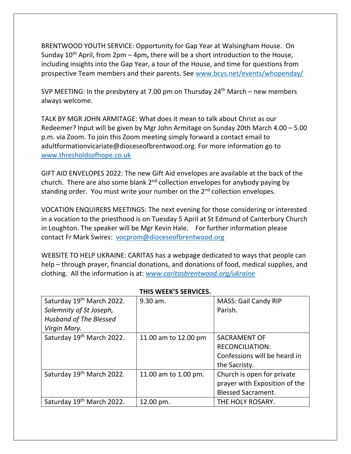BRENTWOOD YOUTH SERVICE: Opportunity for Gap Year at Walsingham House. On Sunday 10th April, from 2pm – 4pm**,** there will be a short introduction to the House, including insights into the Gap Year, a tour of the House, and time for questions from prospective Team members and their parents. See [www.bcys.net/events/whopenday/](https://nam12.safelinks.protection.outlook.com/?url=http%3A%2F%2Fwww.bcys.net%2Fevents%2Fwhopenday%2F&data=04%7C01%7C%7C5e972b76f1c1423e5fdf08da06983a73%7C84df9e7fe9f640afb435aaaaaaaaaaaa%7C1%7C0%7C637829548250032448%7CUnknown%7CTWFpbGZsb3d8eyJWIjoiMC4wLjAwMDAiLCJQIjoiV2luMzIiLCJBTiI6Ik1haWwiLCJXVCI6Mn0%3D%7C3000&sdata=Opn108cUDvxPxZgjHp4xEtawrTADMF0V3k3%2F1vf0tAg%3D&reserved=0)

SVP MEETING: In the presbytery at 7.00 pm on Thursday  $24<sup>th</sup>$  March – new members always welcome.

TALK BY MGR JOHN ARMITAGE: What does it mean to talk about Christ as our Redeemer? Input will be given by Mgr John Armitage on Sunday 20th March 4.00 – 5.00 p.m. via Zoom. To join this Zoom meeting simply forward a contact email to adultformationvicariate@dioceseofbrentwood.org. For more information go to [www.thresholdsofhope.co.uk](http://www.thresholdsofhope.co.uk/)

GIFT AID ENVELOPES 2022: The new Gift Aid envelopes are available at the back of the church. There are also some blank 2<sup>nd</sup> collection envelopes for anybody paying by standing order. You must write your number on the 2<sup>nd</sup> collection envelopes.

VOCATION ENQUIRERS MEETINGS: The next evening for those considering or interested in a vocation to the priesthood is on Tuesday 5 April at St Edmund of Canterbury Church in Loughton. The speaker will be Mgr Kevin Hale. For further information please contact Fr Mark Swires: [vocprom@dioceseofbrentwood.org](mailto:vocprom@dioceseofbrentwood.org)

WEBSITE TO HELP UKRAINE: CARITAS has a webpage dedicated to ways that people can help – through prayer, financial donations, and donations of food, medical supplies, and clothing. All the information is at: *[www.caritasbrentwood.org/ukraine](http://www.caritasbrentwood.org/ukraine)*

| I FIIS WEEN S SENVILES.               |                      |                               |  |
|---------------------------------------|----------------------|-------------------------------|--|
| Saturday 19 <sup>th</sup> March 2022. | 9.30 am.             | <b>MASS: Gail Candy RIP</b>   |  |
| Solemnity of St Joseph,               |                      | Parish.                       |  |
| <b>Husband of The Blessed</b>         |                      |                               |  |
| Virgin Mary.                          |                      |                               |  |
| Saturday 19th March 2022.             | 11.00 am to 12.00 pm | <b>SACRAMENT OF</b>           |  |
|                                       |                      | <b>RECONCILIATION:</b>        |  |
|                                       |                      | Confessions will be heard in  |  |
|                                       |                      | the Sacristy.                 |  |
| Saturday 19 <sup>th</sup> March 2022. | 11.00 am to 1.00 pm. | Church is open for private    |  |
|                                       |                      | prayer with Exposition of the |  |
|                                       |                      | <b>Blessed Sacrament.</b>     |  |
| Saturday 19th March 2022.             | 12.00 pm.            | THE HOLY ROSARY.              |  |

## **THIS WEEK'S SERVICES.**